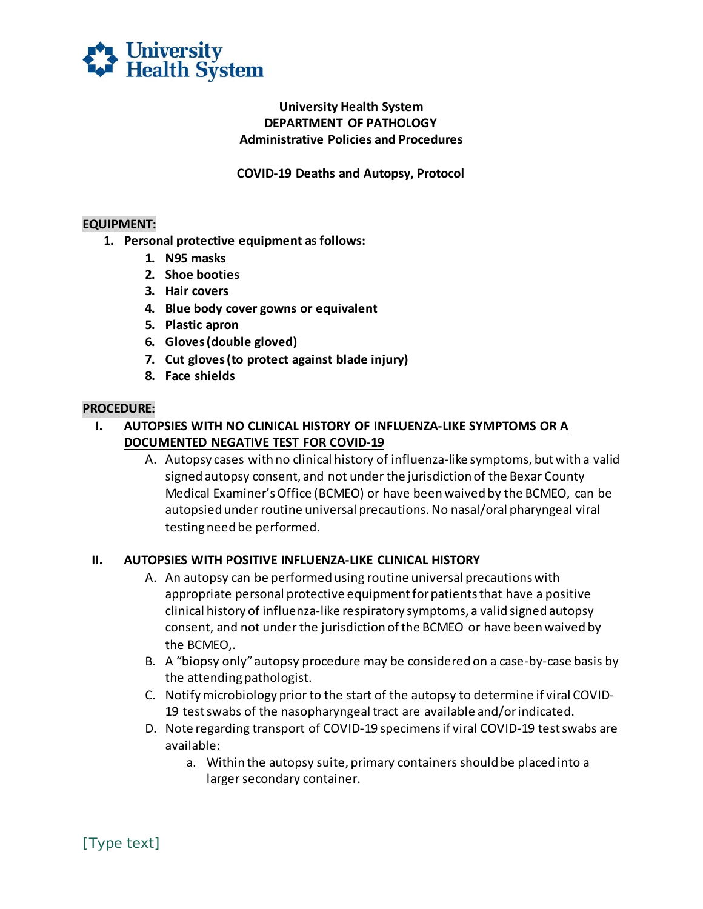

## **University Health System DEPARTMENT OF PATHOLOGY Administrative Policies and Procedures**

**COVID-19 Deaths and Autopsy, Protocol** 

### **EQUIPMENT:**

- **1. Personal protective equipment as follows:** 
	- **1. N95 masks**
	- **2. Shoe booties**
	- **3. Hair covers**
	- **4. Blue body cover gowns or equivalent**
	- **5. Plastic apron**
	- **6. Gloves (double gloved)**
	- **7. Cut gloves (to protect against blade injury)**
	- **8. Face shields**

#### **PROCEDURE:**

- **I. AUTOPSIES WITH NO CLINICAL HISTORY OF INFLUENZA-LIKE SYMPTOMS OR A DOCUMENTED NEGATIVE TEST FOR COVID-19** 
	- Medical Examiner's Office (BCMEO) or have been waived by the BCMEO, can be autopsied under routine universal precautions. No nasal/oral pharyngeal viral A. Autopsy cases with no clinical history of influenza-like symptoms, but with a valid signed autopsy consent, and not under the jurisdiction of the Bexar County testing need be performed.

#### **II. AUTOPSIES WITH POSITIVE INFLUENZA-LIKE CLINICAL HISTORY**

- appropriate personal protective equipment for patients that have a positive the BCMEO,. A. An autopsy can be performed using routine universal precautions with clinical history of influenza-like respiratory symptoms, a valid signed autopsy consent, and not under the jurisdiction of the BCMEO or have been waived by
- B. A "biopsy only" autopsy procedure may be considered on a case-by-case basis by the attending pathologist.
- C. Notify microbiology prior to the start of the autopsy to determine if viral COVID-19 test swabs of the nasopharyngeal tract are available and/or indicated.
- 19 test swabs of the nasopharyngeal tract are available and/or indicated. D. Note regarding transport of COVID-19 specimens if viral COVID-19 test swabs are available:
	- a. Within the autopsy suite, primary containers should be placed into a larger secondary container.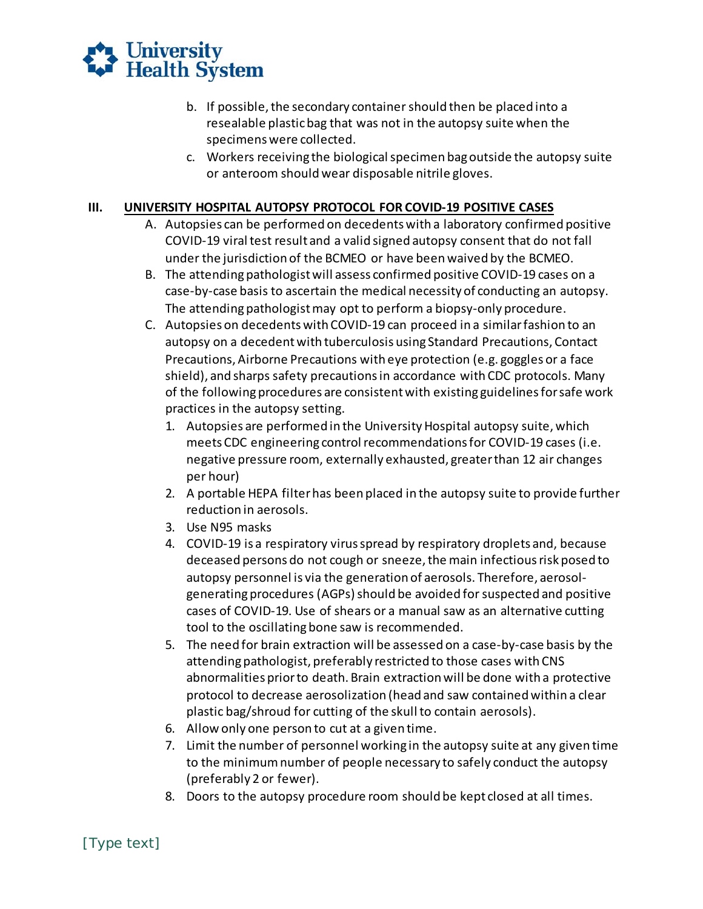

- b. If possible, the secondary container should then be placed into a resealable plastic bag that was not in the autopsy suite when the specimens were collected.
- or anteroom should wear disposable nitrile gloves. c. Workers receiving the biological specimen bag outside the autopsy suite

# **III. UNIVERSITY HOSPITAL AUTOPSY PROTOCOL FOR COVID-19 POSITIVE CASES**

- A. Autopsies can be performed on decedents with a laboratory confirmed positive COVID-19 viral test result and a valid signed autopsy consent that do not fall under the jurisdiction of the BCMEO or have been waived by the BCMEO.
- case-by-case basis to ascertain the medical necessity of conducting an autopsy. B. The attending pathologist will assess confirmed positive COVID-19 cases on a The attending pathologist may opt to perform a biopsy-only procedure.
- [autopsy on a decedent with tuberculosis using Standard Precautions, Contact](https://www.cdc.gov/coronavirus/2019-nCoV/infection-control.html)  [Precautions, Airborne Precautions with eye protection \(e.g. goggles or a face](https://www.cdc.gov/coronavirus/2019-nCoV/infection-control.html)  [shield\),](https://www.cdc.gov/coronavirus/2019-nCoV/infection-control.html) and sharps safety precautions in accordance with CDC protocols. Many of the following procedures are consistent with existing guidelines for safe work [C. Autopsies on decedents with COVID-19 can proceed in a similar fashion to an](https://www.cdc.gov/coronavirus/2019-nCoV/infection-control.html)  practices in the autopsy setting.
	- negative pressure room, externally exhausted, greater than 12 air changes 1. Autopsies are performed in the University Hospital autopsy suite, which meets CDC engineering control recommendations for COVID-19 cases (i.e. per hour)
	- 2. A portable HEPA filter has been placed in the autopsy suite to provide further reduction in aerosols.
	- 3. Use N95 masks
	- 4. COVID-19 is a respiratory virus spread by respiratory droplets and, because deceased persons do not cough or sneeze, the main infectious risk posed to autopsy personnel is via the generation of aerosols. Therefore, aerosol- generating procedures (AGPs) should be avoided for suspected and positive cases of COVID-19. Use of shears or a manual saw as an alternative cutting tool to the oscillating bone saw is recommended.
	- 5. The need for brain extraction will be assessed on a case-by-case basis by the attending pathologist, preferably restricted to those cases with CNS abnormalities prior to death. Brain extraction will be done with a protective protocol to decrease aerosolization (head and saw contained within a clear plastic bag/shroud for cutting of the skull to contain aerosols).
	- 6. Allow only one person to cut at a given time.
	- 7. Limit the number of personnel working in the autopsy suite at any given time to the minimum number of people necessary to safely conduct the autopsy (preferably 2 or fewer).
	- 8. Doors to the autopsy procedure room should be kept closed at all times.

[Type text]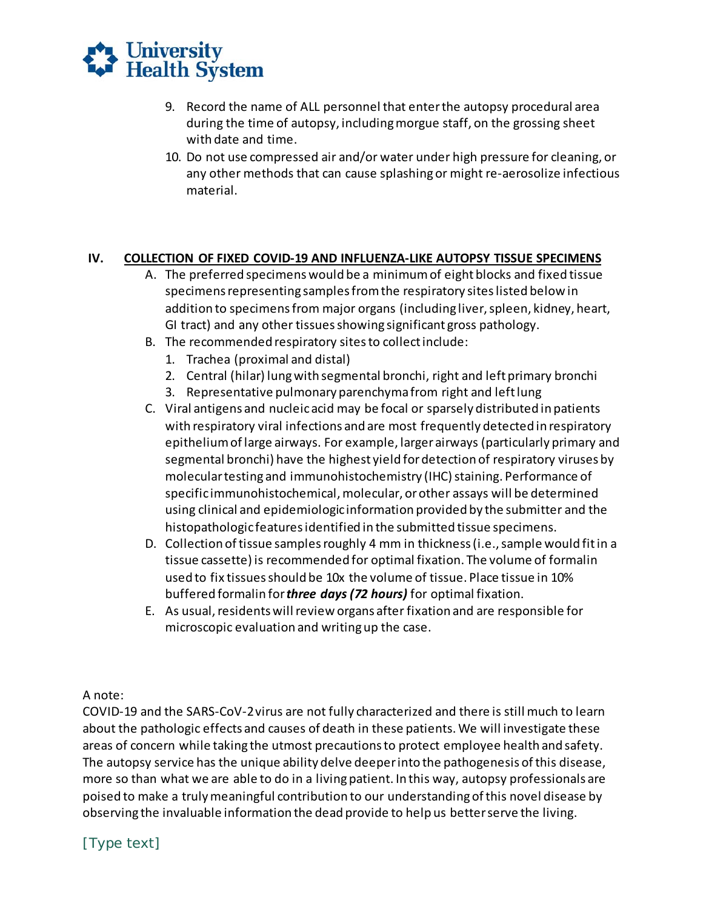

- during the time of autopsy, including morgue staff, on the grossing sheet 9. Record the name of ALL personnel that enter the autopsy procedural area with date and time.
- 10. Do not use compressed air and/or water under high pressure for cleaning, or any other methods that can cause splashing or might re-aerosolize infectious material.

## **IV. COLLECTION OF FIXED COVID-19 AND INFLUENZA-LIKE AUTOPSY TISSUE SPECIMENS**

- A. The preferred specimens would be a minimum of eight blocks and fixed tissue addition to specimens from major organs (including liver, spleen, kidney, heart, specimens representing samples from the respiratory sites listed below in GI tract) and any other tissues showing significant gross pathology.
- B. The recommended respiratory sites to collect include:
	- 1. Trachea (proximal and distal)
	- 2. Central (hilar) lung with segmental bronchi, right and left primary bronchi
	- 3. Representative pulmonary parenchyma from right and left lung
- C. Viral antigens and nucleic acid may be focal or sparsely distributed in patients with respiratory viral infections and are most frequently detected in respiratory epithelium of large airways. For example, larger airways (particularly primary and segmental bronchi) have the highest yield for detection of respiratory viruses by specific immunohistochemical, molecular, or other assays will be determined using clinical and epidemiologic information provided by the submitter and the molecular testing and immunohistochemistry (IHC) staining. Performance of histopathologic features identified in the submitted tissue specimens.
- D. Collection of tissue samples roughly 4 mm in thickness (i.e., sample would fit in a tissue cassette) is recommended for optimal fixation. The volume of formalin used to fix tissues should be 10x the volume of tissue. Place tissue in 10%  buffered formalin for *three days (72 hours)* for optimal fixation.
- E. As usual, residents will review organs after fixation and are responsible for microscopic evaluation and writingup the case.

A note:

 COVID-19 and the SARS-CoV-2virus are not fully characterized and there is still much to learn areas of concern while taking the utmost precautions to protect employee health and safety. The autopsy service has the unique ability delve deeper into the pathogenesis of this disease, more so than what we are able to do in a living patient. In this way, autopsy professionals are poised to make a truly meaningful contribution to our understanding of this novel disease by observing the invaluable information the dead provide to help us better serve the living. about the pathologic effects and causes of death in these patients. We will investigate these

[Type text]